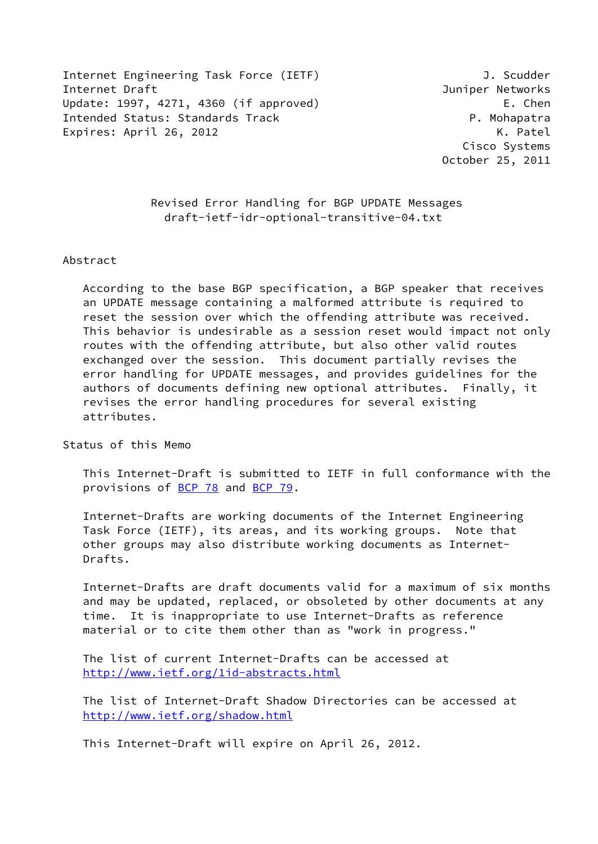Internet Engineering Task Force (IETF) J. Scudder Internet Draft Juniper Networks Update: 1997, 4271, 4360 (if approved) E. Chen Intended Status: Standards Track P. Mohapatra Expires: April 26, 2012 K. Patel

 Cisco Systems October 25, 2011

 Revised Error Handling for BGP UPDATE Messages draft-ietf-idr-optional-transitive-04.txt

#### Abstract

 According to the base BGP specification, a BGP speaker that receives an UPDATE message containing a malformed attribute is required to reset the session over which the offending attribute was received. This behavior is undesirable as a session reset would impact not only routes with the offending attribute, but also other valid routes exchanged over the session. This document partially revises the error handling for UPDATE messages, and provides guidelines for the authors of documents defining new optional attributes. Finally, it revises the error handling procedures for several existing attributes.

Status of this Memo

 This Internet-Draft is submitted to IETF in full conformance with the provisions of [BCP 78](https://datatracker.ietf.org/doc/pdf/bcp78) and [BCP 79](https://datatracker.ietf.org/doc/pdf/bcp79).

 Internet-Drafts are working documents of the Internet Engineering Task Force (IETF), its areas, and its working groups. Note that other groups may also distribute working documents as Internet- Drafts.

 Internet-Drafts are draft documents valid for a maximum of six months and may be updated, replaced, or obsoleted by other documents at any time. It is inappropriate to use Internet-Drafts as reference material or to cite them other than as "work in progress."

 The list of current Internet-Drafts can be accessed at <http://www.ietf.org/1id-abstracts.html>

 The list of Internet-Draft Shadow Directories can be accessed at <http://www.ietf.org/shadow.html>

This Internet-Draft will expire on April 26, 2012.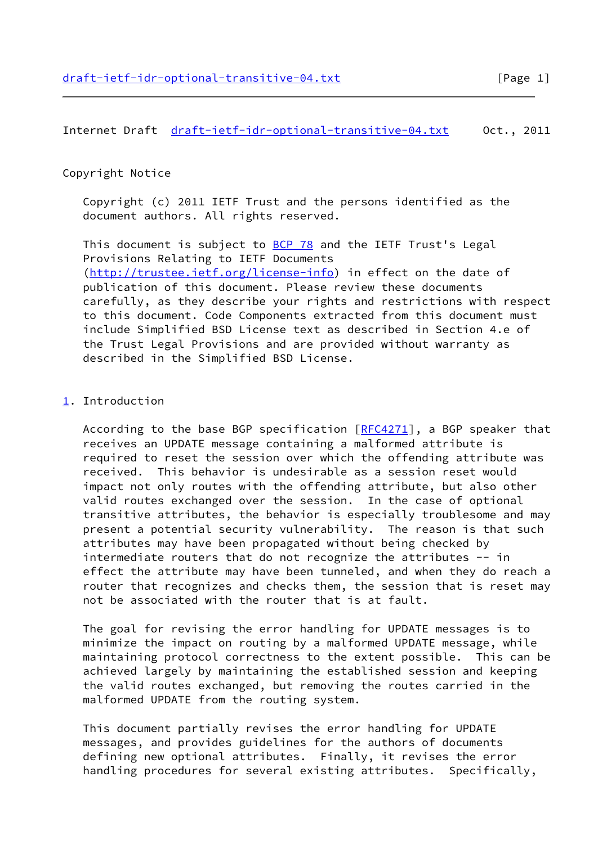# Copyright Notice

 Copyright (c) 2011 IETF Trust and the persons identified as the document authors. All rights reserved.

This document is subject to **[BCP 78](https://datatracker.ietf.org/doc/pdf/bcp78)** and the IETF Trust's Legal Provisions Relating to IETF Documents [\(http://trustee.ietf.org/license-info](http://trustee.ietf.org/license-info)) in effect on the date of publication of this document. Please review these documents carefully, as they describe your rights and restrictions with respect to this document. Code Components extracted from this document must include Simplified BSD License text as described in Section 4.e of the Trust Legal Provisions and are provided without warranty as described in the Simplified BSD License.

# <span id="page-1-0"></span>[1](#page-1-0). Introduction

 According to the base BGP specification [\[RFC4271](https://datatracker.ietf.org/doc/pdf/rfc4271)], a BGP speaker that receives an UPDATE message containing a malformed attribute is required to reset the session over which the offending attribute was received. This behavior is undesirable as a session reset would impact not only routes with the offending attribute, but also other valid routes exchanged over the session. In the case of optional transitive attributes, the behavior is especially troublesome and may present a potential security vulnerability. The reason is that such attributes may have been propagated without being checked by intermediate routers that do not recognize the attributes -- in effect the attribute may have been tunneled, and when they do reach a router that recognizes and checks them, the session that is reset may not be associated with the router that is at fault.

 The goal for revising the error handling for UPDATE messages is to minimize the impact on routing by a malformed UPDATE message, while maintaining protocol correctness to the extent possible. This can be achieved largely by maintaining the established session and keeping the valid routes exchanged, but removing the routes carried in the malformed UPDATE from the routing system.

 This document partially revises the error handling for UPDATE messages, and provides guidelines for the authors of documents defining new optional attributes. Finally, it revises the error handling procedures for several existing attributes. Specifically,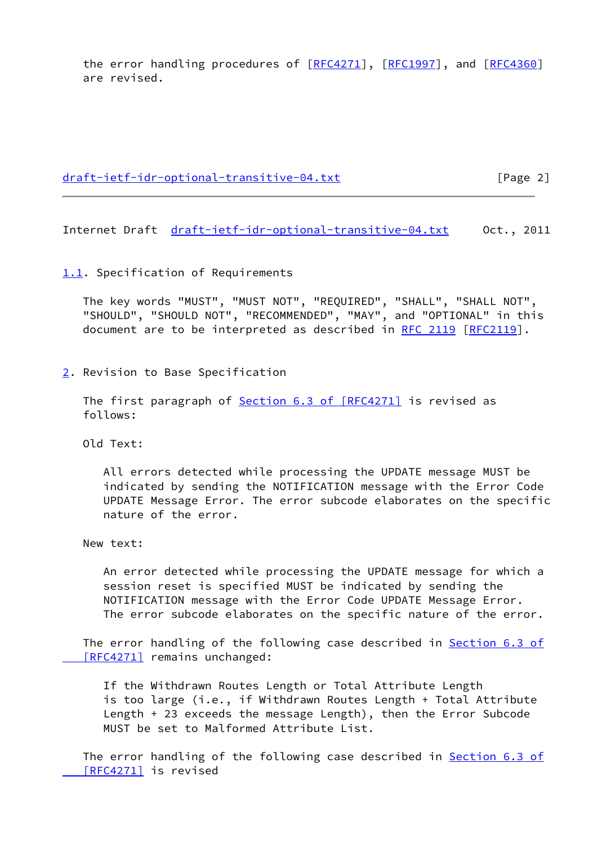the error handling procedures of [\[RFC4271](https://datatracker.ietf.org/doc/pdf/rfc4271)], [\[RFC1997](https://datatracker.ietf.org/doc/pdf/rfc1997)], and [[RFC4360\]](https://datatracker.ietf.org/doc/pdf/rfc4360) are revised.

[draft-ietf-idr-optional-transitive-04.txt](https://datatracker.ietf.org/doc/pdf/draft-ietf-idr-optional-transitive-04.txt) [Page 2]

Internet Draft [draft-ietf-idr-optional-transitive-04.txt](https://datatracker.ietf.org/doc/pdf/draft-ietf-idr-optional-transitive-04.txt) Oct., 2011

#### <span id="page-2-0"></span>[1.1](#page-2-0). Specification of Requirements

 The key words "MUST", "MUST NOT", "REQUIRED", "SHALL", "SHALL NOT", "SHOULD", "SHOULD NOT", "RECOMMENDED", "MAY", and "OPTIONAL" in this document are to be interpreted as described in [RFC 2119 \[RFC2119](https://datatracker.ietf.org/doc/pdf/rfc2119)].

<span id="page-2-1"></span>[2](#page-2-1). Revision to Base Specification

The first paragraph of **Section 6.3 of [RFC4271]** is revised as follows:

Old Text:

 All errors detected while processing the UPDATE message MUST be indicated by sending the NOTIFICATION message with the Error Code UPDATE Message Error. The error subcode elaborates on the specific nature of the error.

New text:

 An error detected while processing the UPDATE message for which a session reset is specified MUST be indicated by sending the NOTIFICATION message with the Error Code UPDATE Message Error. The error subcode elaborates on the specific nature of the error.

The error handling of the following case described in **Section 6.3 of** [RFC4271] remains unchanged:

 If the Withdrawn Routes Length or Total Attribute Length is too large (i.e., if Withdrawn Routes Length + Total Attribute Length + 23 exceeds the message Length), then the Error Subcode MUST be set to Malformed Attribute List.

The error handling of the following case described in **Section 6.3 of**  [\[RFC4271\]](https://datatracker.ietf.org/doc/pdf/rfc4271#section-6.3) is revised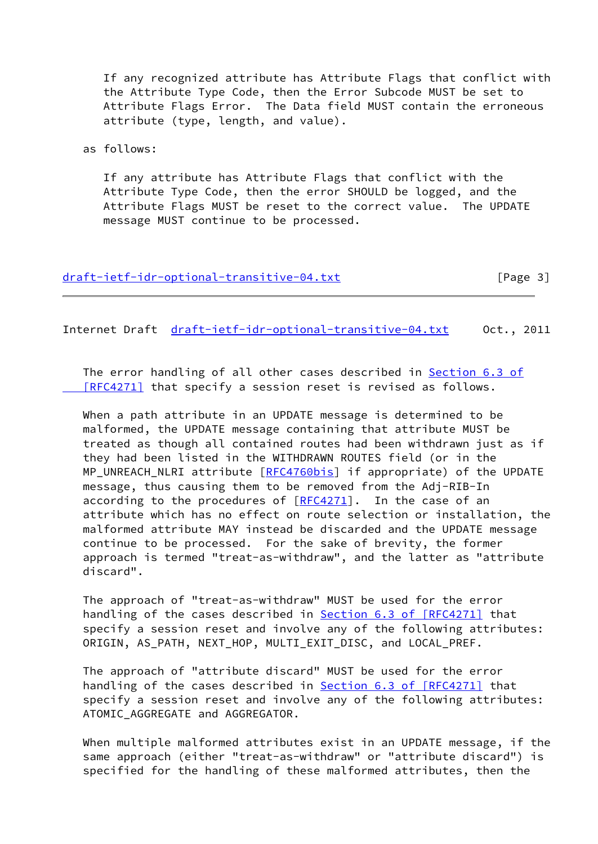If any recognized attribute has Attribute Flags that conflict with the Attribute Type Code, then the Error Subcode MUST be set to Attribute Flags Error. The Data field MUST contain the erroneous attribute (type, length, and value).

as follows:

 If any attribute has Attribute Flags that conflict with the Attribute Type Code, then the error SHOULD be logged, and the Attribute Flags MUST be reset to the correct value. The UPDATE message MUST continue to be processed.

|  |  |  | draft-ietf-idr-optional-transitive-04.txt | [Page 3] |
|--|--|--|-------------------------------------------|----------|
|--|--|--|-------------------------------------------|----------|

Internet Draft [draft-ietf-idr-optional-transitive-04.txt](https://datatracker.ietf.org/doc/pdf/draft-ietf-idr-optional-transitive-04.txt) Oct., 2011

The error handling of all other cases described in [Section](https://datatracker.ietf.org/doc/pdf/rfc4271#section-6.3) 6.3 of  [\[RFC4271\]](https://datatracker.ietf.org/doc/pdf/rfc4271#section-6.3) that specify a session reset is revised as follows.

 When a path attribute in an UPDATE message is determined to be malformed, the UPDATE message containing that attribute MUST be treated as though all contained routes had been withdrawn just as if they had been listed in the WITHDRAWN ROUTES field (or in the MP\_UNREACH\_NLRI attribute [[RFC4760bis\]](#page-8-0) if appropriate) of the UPDATE message, thus causing them to be removed from the Adj-RIB-In according to the procedures of  $[RECA271]$ . In the case of an attribute which has no effect on route selection or installation, the malformed attribute MAY instead be discarded and the UPDATE message continue to be processed. For the sake of brevity, the former approach is termed "treat-as-withdraw", and the latter as "attribute discard".

 The approach of "treat-as-withdraw" MUST be used for the error handling of the cases described in **Section 6.3 of [RFC4271]** that specify a session reset and involve any of the following attributes: ORIGIN, AS\_PATH, NEXT\_HOP, MULTI\_EXIT\_DISC, and LOCAL\_PREF.

 The approach of "attribute discard" MUST be used for the error handling of the cases described in **Section 6.3 of [RFC4271]** that specify a session reset and involve any of the following attributes: ATOMIC AGGREGATE and AGGREGATOR.

 When multiple malformed attributes exist in an UPDATE message, if the same approach (either "treat-as-withdraw" or "attribute discard") is specified for the handling of these malformed attributes, then the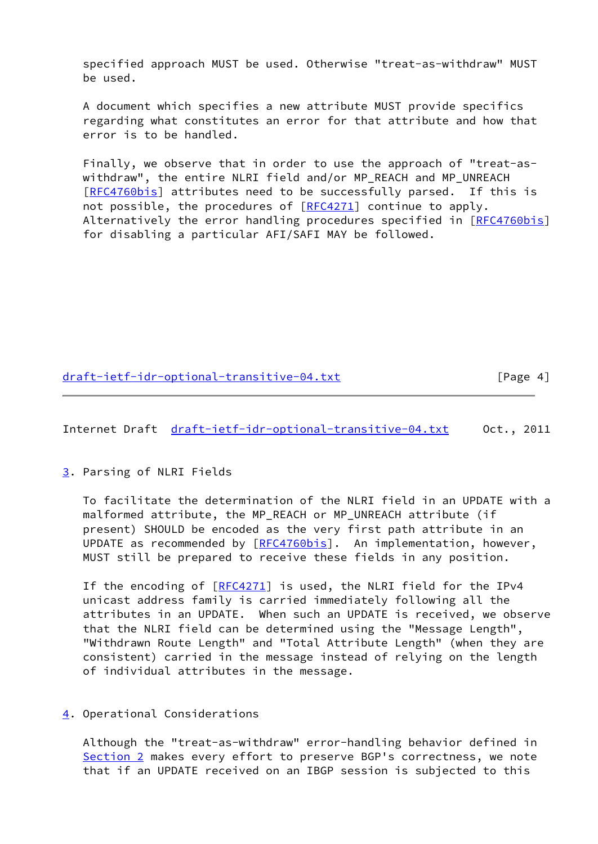specified approach MUST be used. Otherwise "treat-as-withdraw" MUST be used.

 A document which specifies a new attribute MUST provide specifics regarding what constitutes an error for that attribute and how that error is to be handled.

 Finally, we observe that in order to use the approach of "treat-as withdraw", the entire NLRI field and/or MP\_REACH and MP\_UNREACH [\[RFC4760bis\]](#page-8-0) attributes need to be successfully parsed. If this is not possible, the procedures of  $[RECA271]$  continue to apply. Alternatively the error handling procedures specified in [\[RFC4760bis\]](#page-8-0) for disabling a particular AFI/SAFI MAY be followed.

[draft-ietf-idr-optional-transitive-04.txt](https://datatracker.ietf.org/doc/pdf/draft-ietf-idr-optional-transitive-04.txt) [Page 4]

Internet Draft [draft-ietf-idr-optional-transitive-04.txt](https://datatracker.ietf.org/doc/pdf/draft-ietf-idr-optional-transitive-04.txt) Oct., 2011

<span id="page-4-0"></span>[3](#page-4-0). Parsing of NLRI Fields

 To facilitate the determination of the NLRI field in an UPDATE with a malformed attribute, the MP\_REACH or MP\_UNREACH attribute (if present) SHOULD be encoded as the very first path attribute in an UPDATE as recommended by [\[RFC4760bis\]](#page-8-0). An implementation, however, MUST still be prepared to receive these fields in any position.

If the encoding of [[RFC4271\]](https://datatracker.ietf.org/doc/pdf/rfc4271) is used, the NLRI field for the IPv4 unicast address family is carried immediately following all the attributes in an UPDATE. When such an UPDATE is received, we observe that the NLRI field can be determined using the "Message Length", "Withdrawn Route Length" and "Total Attribute Length" (when they are consistent) carried in the message instead of relying on the length of individual attributes in the message.

<span id="page-4-1"></span>[4](#page-4-1). Operational Considerations

 Although the "treat-as-withdraw" error-handling behavior defined in [Section 2](#page-2-1) makes every effort to preserve BGP's correctness, we note that if an UPDATE received on an IBGP session is subjected to this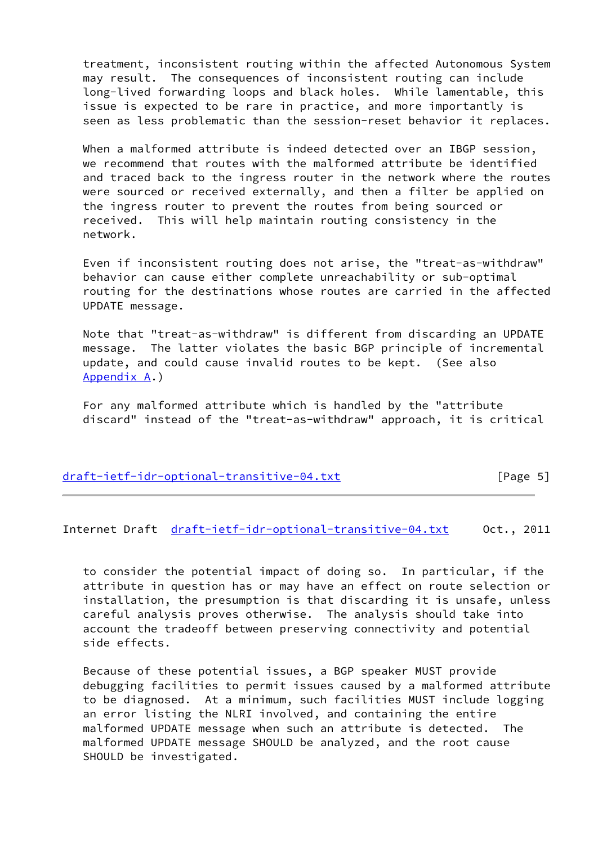treatment, inconsistent routing within the affected Autonomous System may result. The consequences of inconsistent routing can include long-lived forwarding loops and black holes. While lamentable, this issue is expected to be rare in practice, and more importantly is seen as less problematic than the session-reset behavior it replaces.

 When a malformed attribute is indeed detected over an IBGP session, we recommend that routes with the malformed attribute be identified and traced back to the ingress router in the network where the routes were sourced or received externally, and then a filter be applied on the ingress router to prevent the routes from being sourced or received. This will help maintain routing consistency in the network.

 Even if inconsistent routing does not arise, the "treat-as-withdraw" behavior can cause either complete unreachability or sub-optimal routing for the destinations whose routes are carried in the affected UPDATE message.

 Note that "treat-as-withdraw" is different from discarding an UPDATE message. The latter violates the basic BGP principle of incremental update, and could cause invalid routes to be kept. (See also [Appendix A](#page-8-1).)

 For any malformed attribute which is handled by the "attribute discard" instead of the "treat-as-withdraw" approach, it is critical

| draft-ietf-idr-optional-transitive-04.txt | [Page 5] |
|-------------------------------------------|----------|
|                                           |          |

Internet Draft [draft-ietf-idr-optional-transitive-04.txt](https://datatracker.ietf.org/doc/pdf/draft-ietf-idr-optional-transitive-04.txt) Oct., 2011

 to consider the potential impact of doing so. In particular, if the attribute in question has or may have an effect on route selection or installation, the presumption is that discarding it is unsafe, unless careful analysis proves otherwise. The analysis should take into account the tradeoff between preserving connectivity and potential side effects.

 Because of these potential issues, a BGP speaker MUST provide debugging facilities to permit issues caused by a malformed attribute to be diagnosed. At a minimum, such facilities MUST include logging an error listing the NLRI involved, and containing the entire malformed UPDATE message when such an attribute is detected. The malformed UPDATE message SHOULD be analyzed, and the root cause SHOULD be investigated.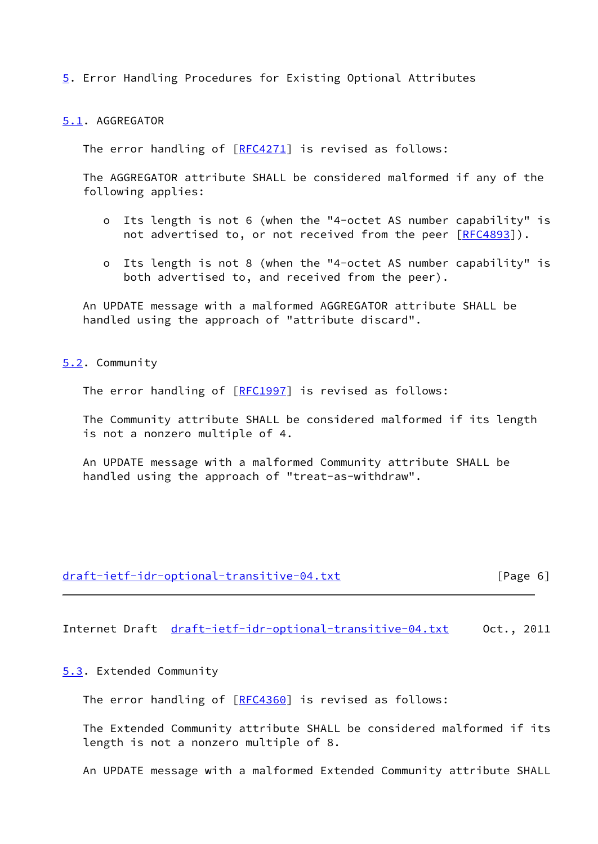<span id="page-6-0"></span>[5](#page-6-0). Error Handling Procedures for Existing Optional Attributes

<span id="page-6-1"></span>[5.1](#page-6-1). AGGREGATOR

The error handling of [[RFC4271](https://datatracker.ietf.org/doc/pdf/rfc4271)] is revised as follows:

 The AGGREGATOR attribute SHALL be considered malformed if any of the following applies:

- o Its length is not 6 (when the "4-octet AS number capability" is not advertised to, or not received from the peer [\[RFC4893](https://datatracker.ietf.org/doc/pdf/rfc4893)]).
- o Its length is not 8 (when the "4-octet AS number capability" is both advertised to, and received from the peer).

 An UPDATE message with a malformed AGGREGATOR attribute SHALL be handled using the approach of "attribute discard".

<span id="page-6-2"></span>[5.2](#page-6-2). Community

The error handling of [[RFC1997](https://datatracker.ietf.org/doc/pdf/rfc1997)] is revised as follows:

 The Community attribute SHALL be considered malformed if its length is not a nonzero multiple of 4.

 An UPDATE message with a malformed Community attribute SHALL be handled using the approach of "treat-as-withdraw".

| draft-ietf-idr-optional-transitive-04.txt | [Page 6] |
|-------------------------------------------|----------|
|                                           |          |

Internet Draft [draft-ietf-idr-optional-transitive-04.txt](https://datatracker.ietf.org/doc/pdf/draft-ietf-idr-optional-transitive-04.txt) Oct., 2011

<span id="page-6-3"></span>[5.3](#page-6-3). Extended Community

The error handling of [[RFC4360](https://datatracker.ietf.org/doc/pdf/rfc4360)] is revised as follows:

 The Extended Community attribute SHALL be considered malformed if its length is not a nonzero multiple of 8.

An UPDATE message with a malformed Extended Community attribute SHALL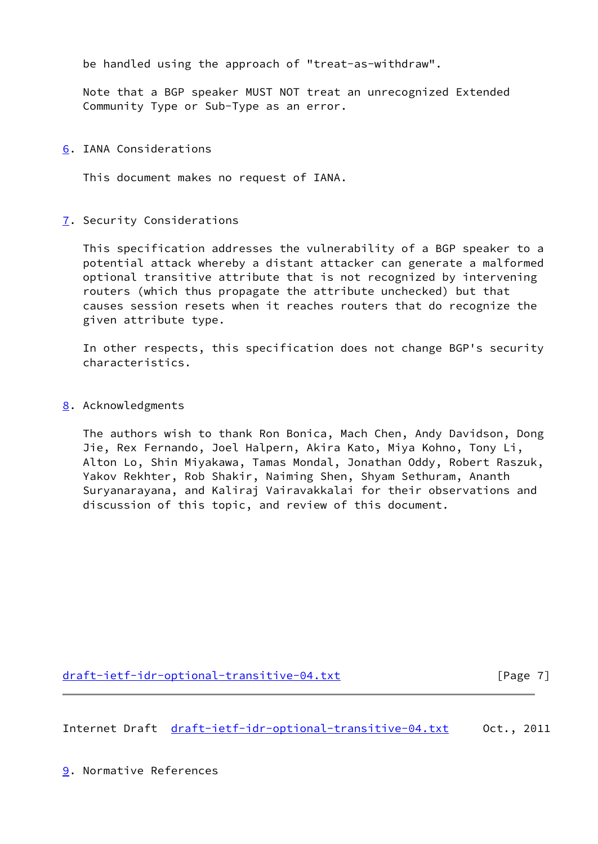be handled using the approach of "treat-as-withdraw".

 Note that a BGP speaker MUST NOT treat an unrecognized Extended Community Type or Sub-Type as an error.

### <span id="page-7-0"></span>[6](#page-7-0). IANA Considerations

This document makes no request of IANA.

# <span id="page-7-1"></span>[7](#page-7-1). Security Considerations

 This specification addresses the vulnerability of a BGP speaker to a potential attack whereby a distant attacker can generate a malformed optional transitive attribute that is not recognized by intervening routers (which thus propagate the attribute unchecked) but that causes session resets when it reaches routers that do recognize the given attribute type.

 In other respects, this specification does not change BGP's security characteristics.

# <span id="page-7-2"></span>[8](#page-7-2). Acknowledgments

 The authors wish to thank Ron Bonica, Mach Chen, Andy Davidson, Dong Jie, Rex Fernando, Joel Halpern, Akira Kato, Miya Kohno, Tony Li, Alton Lo, Shin Miyakawa, Tamas Mondal, Jonathan Oddy, Robert Raszuk, Yakov Rekhter, Rob Shakir, Naiming Shen, Shyam Sethuram, Ananth Suryanarayana, and Kaliraj Vairavakkalai for their observations and discussion of this topic, and review of this document.

[draft-ietf-idr-optional-transitive-04.txt](https://datatracker.ietf.org/doc/pdf/draft-ietf-idr-optional-transitive-04.txt) [Page 7]

Internet Draft [draft-ietf-idr-optional-transitive-04.txt](https://datatracker.ietf.org/doc/pdf/draft-ietf-idr-optional-transitive-04.txt) Oct., 2011

<span id="page-7-3"></span>[9](#page-7-3). Normative References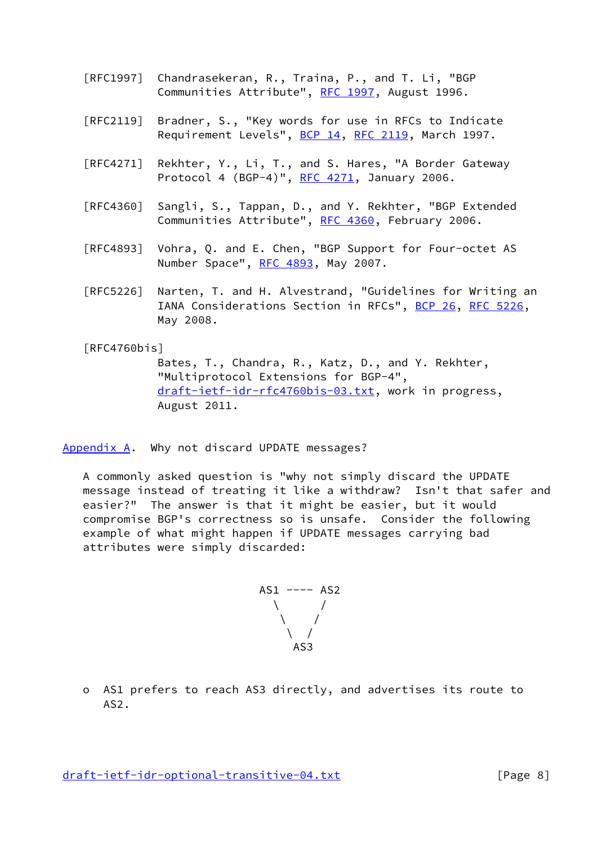- [RFC1997] Chandrasekeran, R., Traina, P., and T. Li, "BGP Communities Attribute", [RFC 1997,](https://datatracker.ietf.org/doc/pdf/rfc1997) August 1996.
- [RFC2119] Bradner, S., "Key words for use in RFCs to Indicate Requirement Levels", [BCP 14](https://datatracker.ietf.org/doc/pdf/bcp14), [RFC 2119](https://datatracker.ietf.org/doc/pdf/rfc2119), March 1997.
- [RFC4271] Rekhter, Y., Li, T., and S. Hares, "A Border Gateway Protocol 4 (BGP-4)", [RFC 4271](https://datatracker.ietf.org/doc/pdf/rfc4271), January 2006.
- [RFC4360] Sangli, S., Tappan, D., and Y. Rekhter, "BGP Extended Communities Attribute", [RFC 4360,](https://datatracker.ietf.org/doc/pdf/rfc4360) February 2006.
- [RFC4893] Vohra, Q. and E. Chen, "BGP Support for Four-octet AS Number Space", [RFC 4893](https://datatracker.ietf.org/doc/pdf/rfc4893), May 2007.
- [RFC5226] Narten, T. and H. Alvestrand, "Guidelines for Writing an IANA Considerations Section in RFCs", [BCP 26](https://datatracker.ietf.org/doc/pdf/bcp26), [RFC 5226](https://datatracker.ietf.org/doc/pdf/rfc5226), May 2008.

# <span id="page-8-0"></span>[RFC4760bis]

 Bates, T., Chandra, R., Katz, D., and Y. Rekhter, "Multiprotocol Extensions for BGP-4", [draft-ietf-idr-rfc4760bis-03.txt,](https://datatracker.ietf.org/doc/pdf/draft-ietf-idr-rfc4760bis-03.txt) work in progress, August 2011.

<span id="page-8-1"></span>[Appendix A.](#page-8-1) Why not discard UPDATE messages?

 A commonly asked question is "why not simply discard the UPDATE message instead of treating it like a withdraw? Isn't that safer and easier?" The answer is that it might be easier, but it would compromise BGP's correctness so is unsafe. Consider the following example of what might happen if UPDATE messages carrying bad attributes were simply discarded:

 AS1 ---- AS2  $\qquad \qquad \backslash$  $\sqrt{2}$  /  $\sqrt{2}$  $\sqrt{2}$ AS3

 o AS1 prefers to reach AS3 directly, and advertises its route to AS2.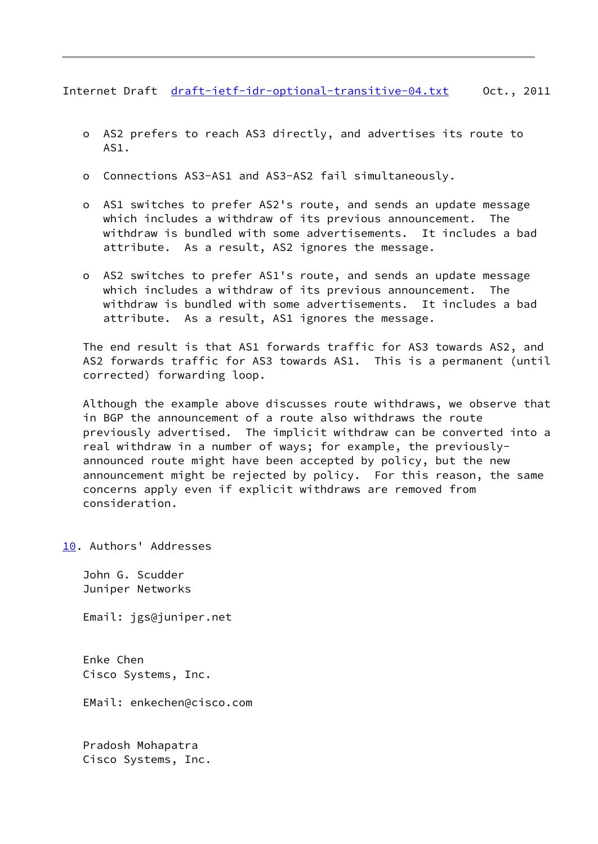Internet Draft [draft-ietf-idr-optional-transitive-04.txt](https://datatracker.ietf.org/doc/pdf/draft-ietf-idr-optional-transitive-04.txt) 0ct., 2011

- o AS2 prefers to reach AS3 directly, and advertises its route to AS1.
- o Connections AS3-AS1 and AS3-AS2 fail simultaneously.
- o AS1 switches to prefer AS2's route, and sends an update message which includes a withdraw of its previous announcement. The withdraw is bundled with some advertisements. It includes a bad attribute. As a result, AS2 ignores the message.
- o AS2 switches to prefer AS1's route, and sends an update message which includes a withdraw of its previous announcement. The withdraw is bundled with some advertisements. It includes a bad attribute. As a result, AS1 ignores the message.

 The end result is that AS1 forwards traffic for AS3 towards AS2, and AS2 forwards traffic for AS3 towards AS1. This is a permanent (until corrected) forwarding loop.

 Although the example above discusses route withdraws, we observe that in BGP the announcement of a route also withdraws the route previously advertised. The implicit withdraw can be converted into a real withdraw in a number of ways; for example, the previously announced route might have been accepted by policy, but the new announcement might be rejected by policy. For this reason, the same concerns apply even if explicit withdraws are removed from consideration.

<span id="page-9-0"></span>[10.](#page-9-0) Authors' Addresses

 John G. Scudder Juniper Networks

Email: jgs@juniper.net

 Enke Chen Cisco Systems, Inc.

EMail: enkechen@cisco.com

 Pradosh Mohapatra Cisco Systems, Inc.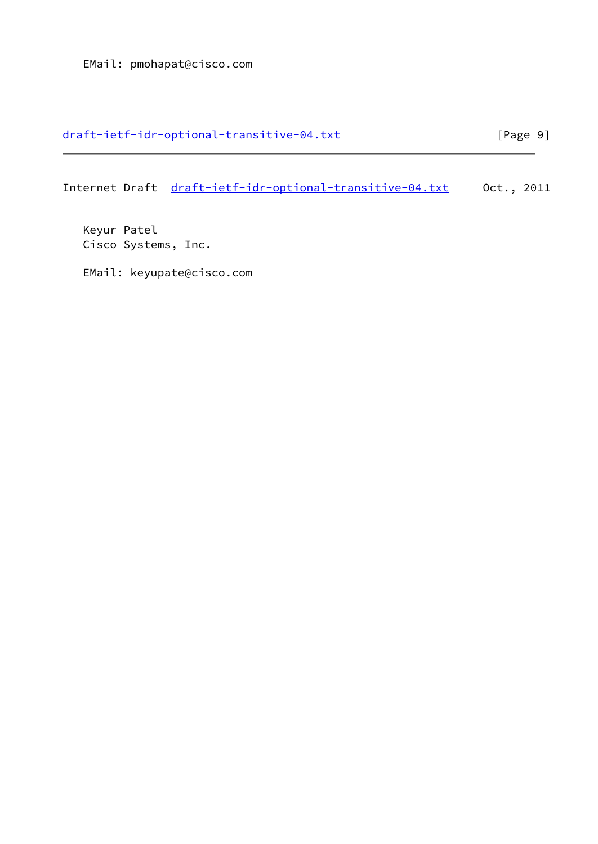# [draft-ietf-idr-optional-transitive-04.txt](https://datatracker.ietf.org/doc/pdf/draft-ietf-idr-optional-transitive-04.txt) [Page 9]

Internet Draft [draft-ietf-idr-optional-transitive-04.txt](https://datatracker.ietf.org/doc/pdf/draft-ietf-idr-optional-transitive-04.txt) Oct., 2011

 Keyur Patel Cisco Systems, Inc.

EMail: keyupate@cisco.com